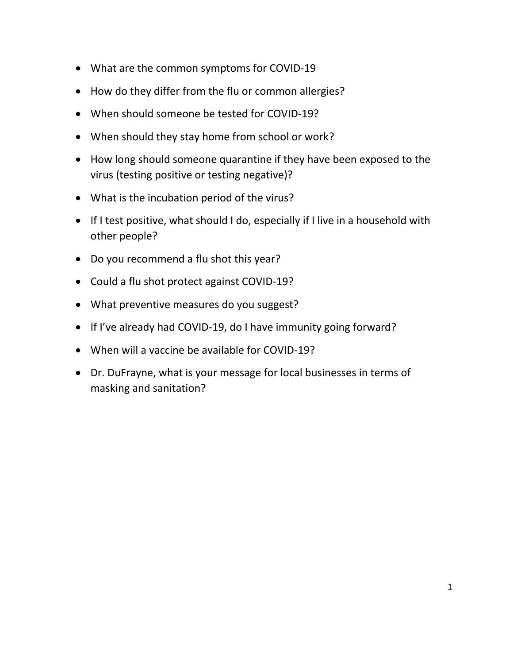- What are the common symptoms for COVID-19
- How do they differ from the flu or common allergies?
- When should someone be tested for COVID-19?
- When should they stay home from school or work?
- How long should someone quarantine if they have been exposed to the virus (testing positive or testing negative)?
- What is the incubation period of the virus?
- If I test positive, what should I do, especially if I live in a household with other people?
- Do you recommend a flu shot this year?
- Could a flu shot protect against COVID-19?
- What preventive measures do you suggest?
- If I've already had COVID-19, do I have immunity going forward?
- When will a vaccine be available for COVID-19?
- Dr. DuFrayne, what is your message for local businesses in terms of masking and sanitation?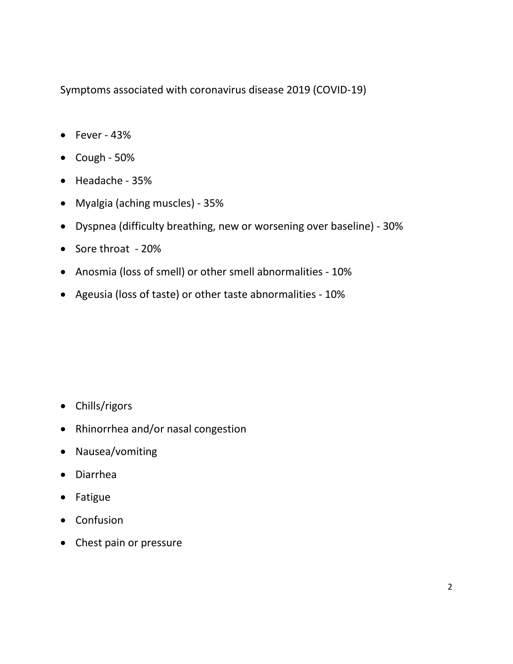Symptoms associated with coronavirus disease 2019 (COVID-19)

- $\bullet$  Fever 43%
- $\bullet$  Cough 50%
- Headache 35%
- Myalgia (aching muscles) 35%
- Dyspnea (difficulty breathing, new or worsening over baseline) 30%
- Sore throat 20%
- Anosmia (loss of smell) or other smell abnormalities 10%
- Ageusia (loss of taste) or other taste abnormalities 10%

- Chills/rigors
- Rhinorrhea and/or nasal congestion
- Nausea/vomiting
- Diarrhea
- Fatigue
- Confusion
- Chest pain or pressure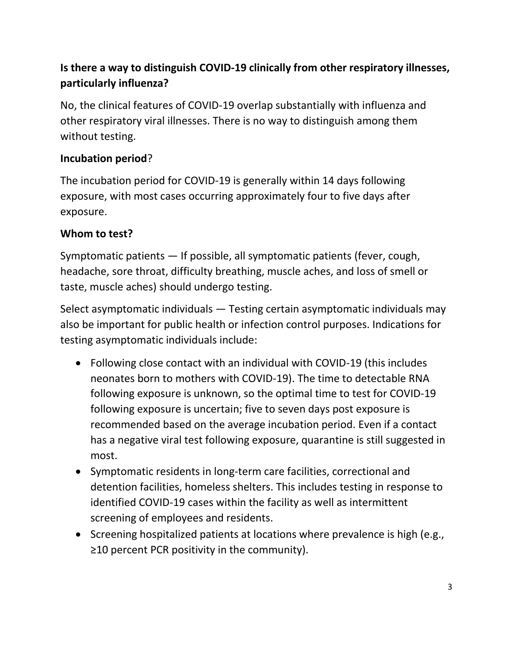# **Is there a way to distinguish COVID-19 clinically from other respiratory illnesses, particularly influenza?**

No, the clinical features of COVID-19 overlap substantially with influenza and other respiratory viral illnesses. There is no way to distinguish among them without testing.

### **Incubation period**?

The incubation period for COVID-19 is generally within 14 days following exposure, with most cases occurring approximately four to five days after exposure.

### **Whom to test?**

Symptomatic patients — If possible, all symptomatic patients (fever, cough, headache, sore throat, difficulty breathing, muscle aches, and loss of smell or taste, muscle aches) should undergo testing.

Select asymptomatic individuals — Testing certain asymptomatic individuals may also be important for public health or infection control purposes. Indications for testing asymptomatic individuals include:

- Following close contact with an individual with COVID-19 (this includes neonates born to mothers with COVID-19). The time to detectable RNA following exposure is unknown, so the optimal time to test for COVID-19 following exposure is uncertain; five to seven days post exposure is recommended based on the average incubation period. Even if a contact has a negative viral test following exposure, quarantine is still suggested in most.
- Symptomatic residents in long-term care facilities, correctional and detention facilities, homeless shelters. This includes testing in response to identified COVID-19 cases within the facility as well as intermittent screening of employees and residents.
- Screening hospitalized patients at locations where prevalence is high (e.g., ≥10 percent PCR positivity in the community).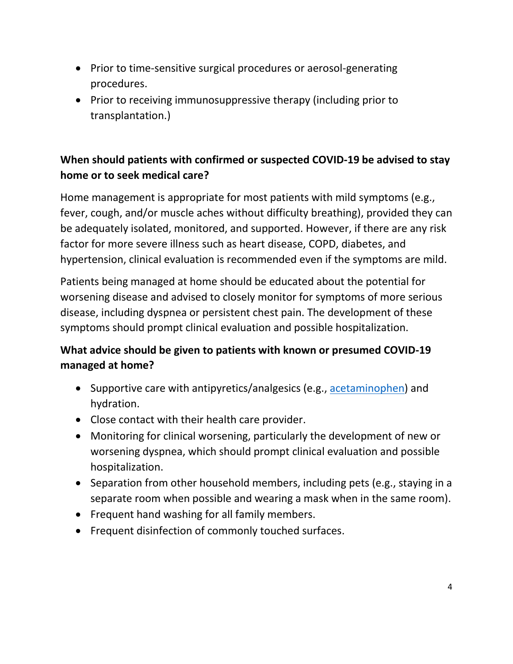- Prior to time-sensitive surgical procedures or aerosol-generating procedures.
- Prior to receiving immunosuppressive therapy (including prior to transplantation.)

## **When should patients with confirmed or suspected COVID-19 be advised to stay home or to seek medical care?**

Home management is appropriate for most patients with mild symptoms (e.g., fever, cough, and/or muscle aches without difficulty breathing), provided they can be adequately isolated, monitored, and supported. However, if there are any risk factor for more severe illness such as heart disease, COPD, diabetes, and hypertension, clinical evaluation is recommended even if the symptoms are mild.

Patients being managed at home should be educated about the potential for worsening disease and advised to closely monitor for symptoms of more serious disease, including dyspnea or persistent chest pain. The development of these symptoms should prompt clinical evaluation and possible hospitalization.

### **What advice should be given to patients with known or presumed COVID-19 managed at home?**

- Supportive care with antipyretics/analgesics (e.g., [acetaminophen\)](/contents/acetaminophen-paracetamol-drug-information?search=covid+vs+flu&topicRef=127454&source=see_link) and hydration.
- Close contact with their health care provider.
- Monitoring for clinical worsening, particularly the development of new or worsening dyspnea, which should prompt clinical evaluation and possible hospitalization.
- Separation from other household members, including pets (e.g., staying in a separate room when possible and wearing a mask when in the same room).
- Frequent hand washing for all family members.
- Frequent disinfection of commonly touched surfaces.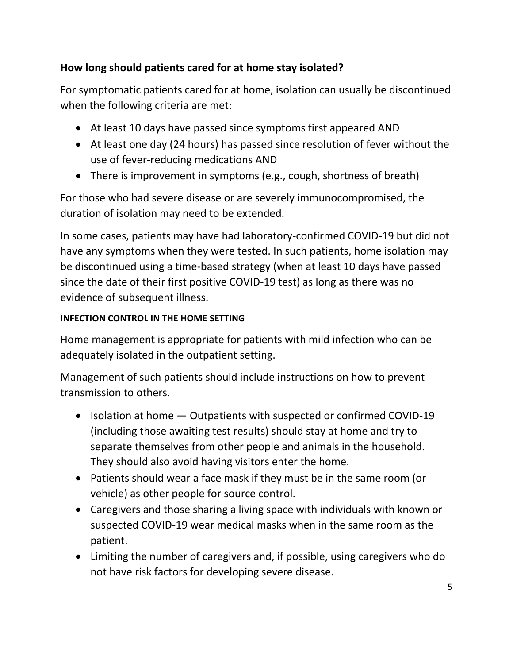## **How long should patients cared for at home stay isolated?**

For symptomatic patients cared for at home, isolation can usually be discontinued when the following criteria are met:

- At least 10 days have passed since symptoms first appeared AND
- At least one day (24 hours) has passed since resolution of fever without the use of fever-reducing medications AND
- There is improvement in symptoms (e.g., cough, shortness of breath)

For those who had severe disease or are severely immunocompromised, the duration of isolation may need to be extended.

In some cases, patients may have had laboratory-confirmed COVID-19 but did not have any symptoms when they were tested. In such patients, home isolation may be discontinued using a time-based strategy (when at least 10 days have passed since the date of their first positive COVID-19 test) as long as there was no evidence of subsequent illness.

#### **INFECTION CONTROL IN THE HOME SETTING**

Home management is appropriate for patients with mild infection who can be adequately isolated in the outpatient setting.

Management of such patients should include instructions on how to prevent transmission to others.

- Isolation at home  $-$  Outpatients with suspected or confirmed COVID-19 (including those awaiting test results) should stay at home and try to separate themselves from other people and animals in the household. They should also avoid having visitors enter the home.
- Patients should wear a face mask if they must be in the same room (or vehicle) as other people for source control.
- Caregivers and those sharing a living space with individuals with known or suspected COVID-19 wear medical masks when in the same room as the patient.
- Limiting the number of caregivers and, if possible, using caregivers who do not have risk factors for developing severe disease.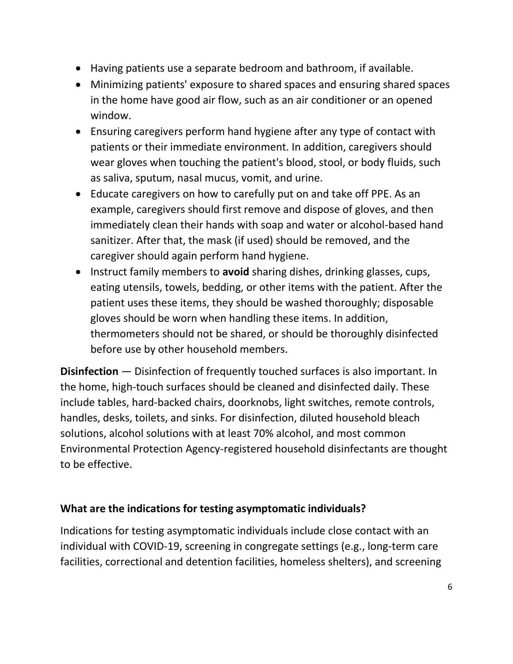- Having patients use a separate bedroom and bathroom, if available.
- Minimizing patients' exposure to shared spaces and ensuring shared spaces in the home have good air flow, such as an air conditioner or an opened window.
- Ensuring caregivers perform hand hygiene after any type of contact with patients or their immediate environment. In addition, caregivers should wear gloves when touching the patient's blood, stool, or body fluids, such as saliva, sputum, nasal mucus, vomit, and urine.
- Educate caregivers on how to carefully put on and take off PPE. As an example, caregivers should first remove and dispose of gloves, and then immediately clean their hands with soap and water or alcohol-based hand sanitizer. After that, the mask (if used) should be removed, and the caregiver should again perform hand hygiene.
- **Instruct family members to avoid sharing dishes, drinking glasses, cups, in the same of the start of start and start and start and start and start and start and start and start and start and start and start and start and** eating utensils, towels, bedding, or other items with the patient. After the patient uses these items, they should be washed thoroughly; disposable gloves should be worn when handling these items. In addition, thermometers should not be shared, or should be thoroughly disinfected before use by other household members.

**Disinfection** — Disinfection of frequently touched surfaces is also important. In the home, high-touch surfaces should be cleaned and disinfected daily. These include tables, hard-backed chairs, doorknobs, light switches, remote controls, handles, desks, toilets, and sinks. For disinfection, diluted household bleach solutions, alcohol solutions with at least 70% alcohol, and most common Environmental Protection Agency-registered household disinfectants are thought to be effective.

#### **What are the indications for testing asymptomatic individuals?**

Indications for testing asymptomatic individuals include close contact with an individual with COVID-19, screening in congregate settings (e.g., long-term care facilities, correctional and detention facilities, homeless shelters), and screening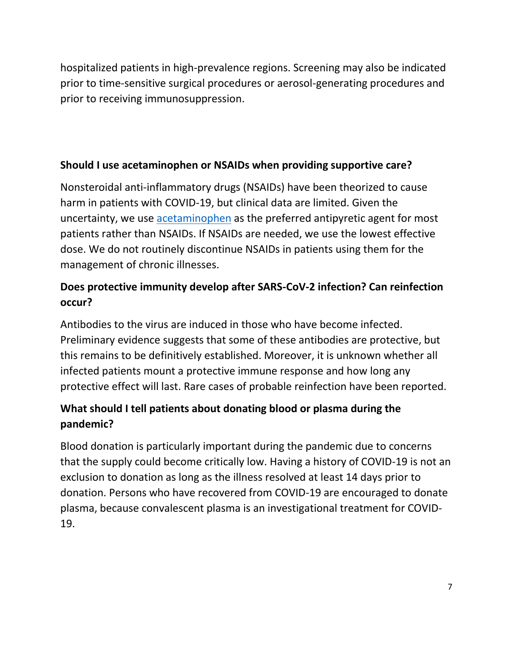hospitalized patients in high-prevalence regions. Screening may also be indicated prior to time-sensitive surgical procedures or aerosol-generating procedures and prior to receiving immunosuppression.

### **Should I use acetaminophen or NSAIDs when providing supportive care?**

Nonsteroidal anti-inflammatory drugs (NSAIDs) have been theorized to cause harm in patients with COVID-19, but clinical data are limited. Given the uncertainty, we use [acetaminophen](/contents/acetaminophen-paracetamol-drug-information?search=covid+vs+flu&topicRef=127454&source=see_link) as the preferred antipyretic agent for most patients rather than NSAIDs. If NSAIDs are needed, we use the lowest effective dose. We do not routinely discontinue NSAIDs in patients using them for the management of chronic illnesses.

# **Does protective immunity develop after SARS-CoV-2 infection? Can reinfection occur?**

Antibodies to the virus are induced in those who have become infected. Preliminary evidence suggests that some of these antibodies are protective, but this remains to be definitively established. Moreover, it is unknown whether all infected patients mount a protective immune response and how long any protective effect will last. Rare cases of probable reinfection have been reported.

## **What should I tell patients about donating blood or plasma during the pandemic?**

Blood donation is particularly important during the pandemic due to concerns that the supply could become critically low. Having a history of COVID-19 is not an exclusion to donation as long as the illness resolved at least 14 days prior to donation. Persons who have recovered from COVID-19 are encouraged to donate plasma, because convalescent plasma is an investigational treatment for COVID-19.